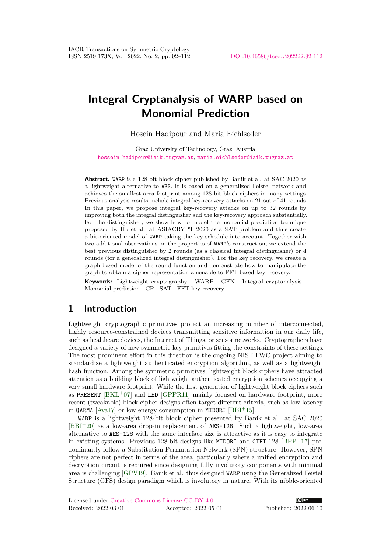# **Integral Cryptanalysis of WARP based on Monomial Prediction**

Hosein Hadipour and Maria Eichlseder

Graz University of Technology, Graz, Austria [hossein.hadipour@iaik.tugraz.at](mailto:hossein.hadipour@iaik.tugraz.at), [maria.eichlseder@iaik.tugraz.at](mailto:maria.eichlseder@iaik.tugraz.at)

**Abstract.** WARP is a 128-bit block cipher published by Banik et al. at SAC 2020 as a lightweight alternative to AES. It is based on a generalized Feistel network and achieves the smallest area footprint among 128-bit block ciphers in many settings. Previous analysis results include integral key-recovery attacks on 21 out of 41 rounds. In this paper, we propose integral key-recovery attacks on up to 32 rounds by improving both the integral distinguisher and the key-recovery approach substantially. For the distinguisher, we show how to model the monomial prediction technique proposed by Hu et al. at ASIACRYPT 2020 as a SAT problem and thus create a bit-oriented model of WARP taking the key schedule into account. Together with two additional observations on the properties of WARP's construction, we extend the best previous distinguisher by 2 rounds (as a classical integral distinguisher) or 4 rounds (for a generalized integral distinguisher). For the key recovery, we create a graph-based model of the round function and demonstrate how to manipulate the graph to obtain a cipher representation amenable to FFT-based key recovery.

**Keywords:** Lightweight cryptography · WARP · GFN · Integral cryptanalysis · Monomial prediction · CP · SAT · FFT key recovery

# <span id="page-0-0"></span>**1 Introduction**

Lightweight cryptographic primitives protect an increasing number of interconnected, highly resource-constrained devices transmitting sensitive information in our daily life, such as healthcare devices, the Internet of Things, or sensor networks. Cryptographers have designed a variety of new symmetric-key primitives fitting the constraints of these settings. The most prominent effort in this direction is the ongoing NIST LWC project aiming to standardize a lightweight authenticated encryption algorithm, as well as a lightweight hash function. Among the symmetric primitives, lightweight block ciphers have attracted attention as a building block of lightweight authenticated encryption schemes occupying a very small hardware footprint. While the first generation of lightweight block ciphers such as PRESENT  $[BKL+07]$  $[BKL+07]$  and LED  $[GPPR11]$  mainly focused on hardware footprint, more recent (tweakable) block cipher designs often target different criteria, such as low latency in QARMA [\[Ava17\]](#page-19-2) or low energy consumption in MIDORI [\[BBI](#page-19-3)<sup>+</sup>15].

WARP is a lightweight 128-bit block cipher presented by Banik et al. at SAC 2020  $[BBI<sup>+</sup>20]$  $[BBI<sup>+</sup>20]$  as a low-area drop-in replacement of AES-128. Such a lightweight, low-area alternative to AES-128 with the same interface size is attractive as it is easy to integrate in existing systems. Previous 128-bit designs like MIDORI and GIFT-128 [\[BPP](#page-19-5)+17] predominantly follow a Substitution-Permutation Network (SPN) structure. However, SPN ciphers are not perfect in terms of the area, particularly where a unified encryption and decryption circuit is required since designing fully involutory components with minimal area is challenging [\[GPV19\]](#page-19-6). Banik et al. thus designed WARP using the Generalized Feistel Structure (GFS) design paradigm which is involutory in nature. With its nibble-oriented

Licensed under [Creative Commons License CC-BY 4.0.](http://creativecommons.org/licenses/by/4.0/) Received: 2022-03-01 Accepted: 2022-05-01 Published: 2022-06-10

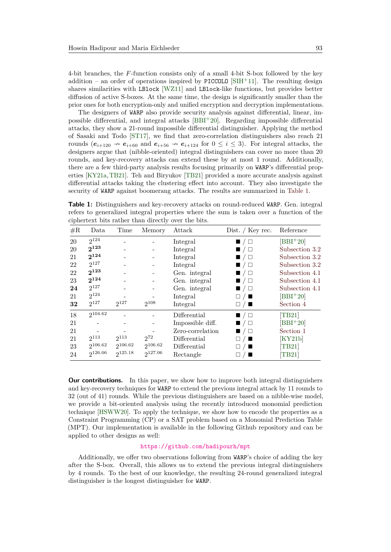4-bit branches, the *F*-function consists only of a small 4-bit S-box followed by the key addition – an order of operations inspired by PICCOLO  $[SHH+11]$ . The resulting design shares similarities with LBlock [\[WZ11\]](#page-20-1) and LBlock-like functions, but provides better diffusion of active S-boxes. At the same time, the design is significantly smaller than the prior ones for both encryption-only and unified encryption and decryption implementations.

The designers of WARP also provide security analysis against differential, linear, impossible differential, and integral attacks  $[BBI^+20]$  $[BBI^+20]$ . Regarding impossible differential attacks, they show a 21-round impossible differential distinguisher. Applying the method of Sasaki and Todo [\[ST17\]](#page-20-2), we find that zero-correlation distinguishers also reach 21 rounds  $(e_{i+120} \nightharpoonup e_{i+60}$  and  $e_{i+56} \nightharpoonup e_{i+124}$  for  $0 \leq i \leq 3$ ). For integral attacks, the designers argue that (nibble-oriented) integral distinguishers can cover no more than 20 rounds, and key-recovery attacks can extend these by at most 1 round. Additionally, there are a few third-party analysis results focusing primarily on WARP's differential properties [\[KY21a,](#page-20-3)[TB21\]](#page-20-4). Teh and Biryukov [\[TB21\]](#page-20-4) provided a more accurate analysis against differential attacks taking the clustering effect into account. They also investigate the security of WARP against boomerang attacks. The results are summarized in [Table 1.](#page-1-0)

<span id="page-1-0"></span>**Table 1:** Distinguishers and key-recovery attacks on round-reduced WARP. Gen. integral refers to generalized integral properties where the sum is taken over a function of the ciphertext bits rather than directly over the bits.

| $\#\mathrm{R}$ | Data         | Time      | Memory   | Attack           | Dist. / Key rec.           | Reference                   |
|----------------|--------------|-----------|----------|------------------|----------------------------|-----------------------------|
| 20             | 2124         |           |          | Integral         | $\blacksquare$ / $\square$ | $[BBI+20]$                  |
| 20             | $2^{123}$    |           |          | Integral         | $\blacksquare$ / $\square$ | Subsection 3.2              |
| 21             | $2^{124}$    |           |          | Integral         | $\blacksquare$ / $\square$ | Subsection 3.2              |
| 22             | $2^{127}$    |           |          | Integral         | ■/□                        | Subsection 3.2              |
| 22             | $2^{123}$    |           |          | Gen. integral    | $\blacksquare$ / $\square$ | Subsection 4.1              |
| 23             | $2^{124}$    |           |          | Gen. integral    | $\blacksquare$ / $\square$ | Subsection 4.1              |
| 24             | $2^{127}$    |           |          | Gen. integral    | $\blacksquare / \square$   | Subsection 4.1              |
| 21             | $2^{124}$    |           |          | Integral         | $\Box$ / $\Box$            | $[BBI+20]$                  |
| 32             | $2^{127}$    | $2^{127}$ | 2108     | Integral         | $\Box / \blacksquare$      | Section 4                   |
| 18             | $2^{104.62}$ |           |          | Differential     | $\blacksquare$ / $\square$ | [TB21]                      |
| 21             |              |           |          | Impossible diff. | ■ / □                      | $[BBI+20]$                  |
| 21             |              |           |          | Zero-correlation | $\blacksquare$ / $\square$ | Section 1                   |
| 21             | $2^{113}$    | $2^{113}$ | $2^{72}$ | Differential     | $\Box$ / $\Box$            | [KY21b]                     |
| 23             | 2106.62      | 2106.62   | 2106.62  | Differential     |                            | [TB21]                      |
| 24             | 2126.06      | 2125.18   | 9127.06  | Rectangle        |                            | $\left[ \text{TB}21\right]$ |

**Our contributions.** In this paper, we show how to improve both integral distinguishers and key-recovery techniques for WARP to extend the previous integral attack by 11 rounds to 32 (out of 41) rounds. While the previous distinguishers are based on a nibble-wise model, we provide a bit-oriented analysis using the recently introduced monomial prediction technique [\[HSWW20\]](#page-20-6). To apply the technique, we show how to encode the properties as a Constraint Programming (CP) or a SAT problem based on a Monomial Prediction Table (MPT). Our implementation is available in the following Github repository and can be applied to other designs as well:

#### <https://github.com/hadipourh/mpt>

Additionally, we offer two observations following from WARP's choice of adding the key after the S-box. Overall, this allows us to extend the previous integral distinguishers by 4 rounds. To the best of our knowledge, the resulting 24-round generalized integral distinguisher is the longest distinguisher for WARP.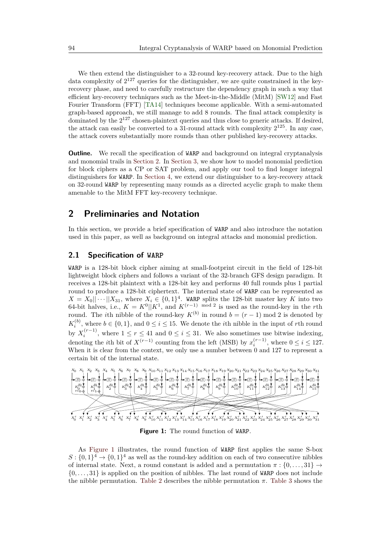We then extend the distinguisher to a 32-round key-recovery attack. Due to the high data complexity of  $2^{127}$  queries for the distinguisher, we are quite constrained in the keyrecovery phase, and need to carefully restructure the dependency graph in such a way that efficient key-recovery techniques such as the Meet-in-the-Middle (MitM) [\[SW12\]](#page-20-7) and Fast Fourier Transform (FFT) [\[TA14\]](#page-20-8) techniques become applicable. With a semi-automated graph-based approach, we still manage to add 8 rounds. The final attack complexity is dominated by the  $2^{127}$  chosen-plaintext queries and thus close to generic attacks. If desired, the attack can easily be converted to a 31-round attack with complexity  $2^{125}$ . In any case, the attack covers substantially more rounds than other published key-recovery attacks.

**Outline.** We recall the specification of WARP and background on integral cryptanalysis and monomial trails in [Section 2.](#page-2-0) In [Section 3,](#page-5-0) we show how to model monomial prediction for block ciphers as a CP or SAT problem, and apply our tool to find longer integral distinguishers for WARP. In [Section 4,](#page-9-0) we extend our distinguisher to a key-recovery attack on 32-round WARP by representing many rounds as a directed acyclic graph to make them amenable to the MitM FFT key-recovery technique.

# <span id="page-2-0"></span>**2 Preliminaries and Notation**

In this section, we provide a brief specification of WARP and also introduce the notation used in this paper, as well as background on integral attacks and monomial prediction.

### **2.1 Specification of WARP**

WARP is a 128-bit block cipher aiming at small-footprint circuit in the field of 128-bit lightweight block ciphers and follows a variant of the 32-branch GFS design paradigm. It receives a 128-bit plaintext with a 128-bit key and performs 40 full rounds plus 1 partial round to produce a 128-bit ciphertext. The internal state of WARP can be represented as  $X = X_0 || \cdots || X_{31}$ , where  $X_i \in \{0,1\}^4$ . WARP splits the 128-bit master key *K* into two 64-bit halves, i.e.,  $K = K^0||K^1$ , and  $K^{(r-1)}$  mod 2 is used as the round-key in the *r*th round. The *i*th nibble of the round-key  $K^{(b)}$  in round  $b = (r - 1) \text{ mod } 2$  is denoted by  $K_i^{(b)}$ , where  $b \in \{0,1\}$ , and  $0 \le i \le 15$ . We denote the *i*th nibble in the input of *r*th round by  $X_i^{(r-1)}$ , where  $1 \le r \le 41$  and  $0 \le i \le 31$ . We also sometimes use bitwise indexing, denoting the *i*th bit of  $X^{(r-1)}$  counting from the left (MSB) by  $x_i^{(r-1)}$ , where  $0 \le i \le 127$ . When it is clear from the context, we only use a number between 0 and 127 to represent a certain bit of the internal state.

<span id="page-2-1"></span>

**Figure 1:** The round function of WARP.

As [Figure 1](#page-2-1) illustrates, the round function of WARP first applies the same S-box  $S: \{0,1\}^4 \to \{0,1\}^4$  as well as the round-key addition on each of two consecutive nibbles of internal state. Next, a round constant is added and a permutation  $\pi : \{0, \ldots, 31\} \rightarrow$ {0*, . . . ,* 31} is applied on the position of nibbles. The last round of WARP does not include the nibble permutation. [Table 2](#page-3-0) describes the nibble permutation *π*. [Table 3](#page-3-1) shows the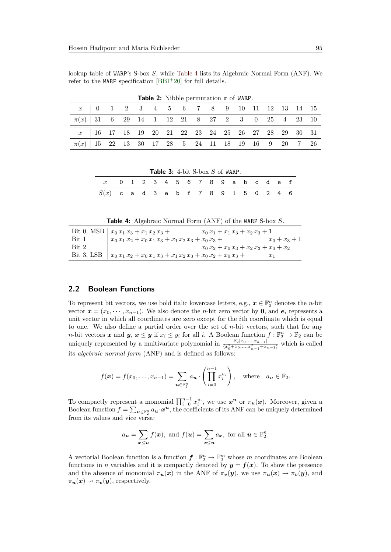lookup table of WARP's S-box *S*, while [Table 4](#page-3-2) lists its Algebraic Normal Form (ANF). We refer to the WARP specification  $[BBI+20]$  $[BBI+20]$  for full details.

<span id="page-3-0"></span>

|                                                                                   |  |  |  | <b>FUDIC 2.</b> THOOR POINTWONDED A OF WHILE. |  |  |  |  |  |
|-----------------------------------------------------------------------------------|--|--|--|-----------------------------------------------|--|--|--|--|--|
| $x$   0   1   2   3   4   5   6   6   7   8   8   9   10   11   12   13   14   15 |  |  |  |                                               |  |  |  |  |  |
| $\pi(x)$ 31 6 29 14 1 12 21 8 27 2 3 0 25 4 23 10                                 |  |  |  |                                               |  |  |  |  |  |
| x   16 17 18 19 20 21 22 23 24 25 26 27 28 29 30 31                               |  |  |  |                                               |  |  |  |  |  |
| $\pi(x)$   15 22 13 30 17 28 5 24 11 18 19 16 9 20 7 26                           |  |  |  |                                               |  |  |  |  |  |

**Table 2:** Nibble permutation  $\pi$  of WARP

<span id="page-3-1"></span>

| <b>Table 3:</b> 4-bit S-box $S$ of WARP. |  |  |  |  |  |  |  |  |  |  |  |  |  |
|------------------------------------------|--|--|--|--|--|--|--|--|--|--|--|--|--|
| x 0 1 2 3 4 5 6 7 8 9 a b c d e f        |  |  |  |  |  |  |  |  |  |  |  |  |  |
| $S(x)$ cad 3 e b f 7 8 9 1 5 0 2 4 6     |  |  |  |  |  |  |  |  |  |  |  |  |  |

**Table 4:** Algebraic Normal Form (ANF) of the WARP S-box *S*.

<span id="page-3-2"></span>

|            | Bit 0, MSB $\vert x_0 x_1 x_3 + x_1 x_2 x_3 +$                  | $x_0 x_1 + x_1 x_3 + x_2 x_3 + 1$         |                 |
|------------|-----------------------------------------------------------------|-------------------------------------------|-----------------|
| Bit 1      | $x_0 x_1 x_2 + x_0 x_1 x_3 + x_1 x_2 x_3 + x_0 x_3 +$           |                                           | $x_0 + x_3 + 1$ |
| Bit 2      |                                                                 | $x_0 x_2 + x_0 x_3 + x_2 x_3 + x_0 + x_2$ |                 |
| Bit 3, LSB | $x_0 x_1 x_2 + x_0 x_1 x_3 + x_1 x_2 x_3 + x_0 x_2 + x_0 x_3 +$ |                                           | X1              |

#### **2.2 Boolean Functions**

To represent bit vectors, we use bold italic lowercase letters, e.g.,  $x \in \mathbb{F}_2^n$  denotes the *n*-bit vector  $x = (x_0, \dots, x_{n-1})$ . We also denote the *n*-bit zero vector by **0**, and  $e_i$  represents a unit vector in which all coordinates are zero except for the *i*th coordinate which is equal to one. We also define a partial order over the set of *n*-bit vectors, such that for any *n*-bit vectors *x* and *y*,  $x \le y$  if  $x_i \le y_i$  for all *i*. A Boolean function  $f : \mathbb{F}_2^n \to \mathbb{F}_2$  can be uniquely represented by a multivariate polynomial in  $\frac{\mathbb{F}_2[x_0,...,x_{n-1}]}{\langle x_0^2+x_0,...,x_{n-1}^2+x_{n-1}\rangle}$  which is called its *algebraic normal form* (ANF) and is defined as follows:

$$
f(\boldsymbol{x}) = f(x_0, \dots, x_{n-1}) = \sum_{\boldsymbol{u} \in \mathbb{F}_2^n} a_{\boldsymbol{u}} \cdot \left( \prod_{i=0}^{n-1} x_i^{u_i} \right), \text{ where } a_{\boldsymbol{u}} \in \mathbb{F}_2.
$$

To compactly represent a monomial  $\prod_{i=0}^{n-1} x_i^{u_i}$ , we use  $x^u$  or  $\pi_u(x)$ . Moreover, given a Boolean function  $f = \sum_{u \in \mathbb{F}_2^n} a_u \cdot x^u$ , the coefficients of its ANF can be uniquely determined from its values and vice versa:

$$
a_{\mathbf{u}} = \sum_{\mathbf{x} \leq \mathbf{u}} f(\mathbf{x}), \text{ and } f(\mathbf{u}) = \sum_{\mathbf{x} \leq \mathbf{u}} a_{\mathbf{x}}, \text{ for all } \mathbf{u} \in \mathbb{F}_2^n.
$$

A vectorial Boolean function is a function  $f: \mathbb{F}_2^n \to \mathbb{F}_2^m$  whose m coordinates are Boolean functions in *n* variables and it is compactly denoted by  $y = f(x)$ . To show the presence and the absence of monomial  $\pi_u(x)$  in the ANF of  $\pi_v(y)$ , we use  $\pi_u(x) \to \pi_v(y)$ , and  $\pi_u(x) \rightarrow \pi_v(y)$ , respectively.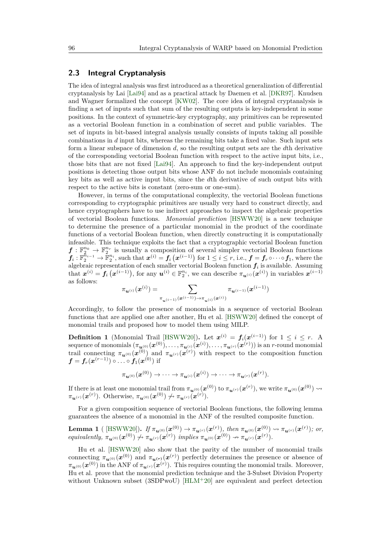#### **2.3 Integral Cryptanalysis**

The idea of integral analysis was first introduced as a theoretical generalization of differential cryptanalysis by Lai [\[Lai94\]](#page-20-9) and as a practical attack by Daemen et al. [\[DKR97\]](#page-19-7). Knudsen and Wagner formalized the concept [\[KW02\]](#page-20-10). The core idea of integral cryptanalysis is finding a set of inputs such that sum of the resulting outputs is key-independent in some positions. In the context of symmetric-key cryptography, any primitives can be represented as a vectorial Boolean function in a combination of secret and public variables. The set of inputs in bit-based integral analysis usually consists of inputs taking all possible combinations in *d* input bits, whereas the remaining bits take a fixed value. Such input sets form a linear subspace of dimension *d*, so the resulting output sets are the *d*th derivative of the corresponding vectorial Boolean function with respect to the active input bits, i.e., those bits that are not fixed [\[Lai94\]](#page-20-9). An approach to find the key-independent output positions is detecting those output bits whose ANF do not include monomials containing key bits as well as active input bits, since the *d*th derivative of such output bits with respect to the active bits is constant (zero-sum or one-sum).

However, in terms of the computational complexity, the vectorial Boolean functions corresponding to cryptographic primitives are usually very hard to construct directly, and hence cryptographers have to use indirect approaches to inspect the algebraic properties of vectorial Boolean functions. *Monomial prediction* [\[HSWW20\]](#page-20-6) is a new technique to determine the presence of a particular monomial in the product of the coordinate functions of a vectorial Boolean function, when directly constructing it is computationally infeasible. This technique exploits the fact that a cryptographic vectorial Boolean function  $f: \mathbb{F}_2^{n_0} \to \mathbb{F}_2^{n_r}$  is usually a composition of several simpler vectorial Boolean functions  $\tilde{\bm{f}}_i: \mathbb{F}_2^{\tilde{n}_{i-1}} \to \tilde{\mathbb{F}}_2^{n_i}$ , such that  $\bm{x}^{(i)} = \bm{f}_i\left(\bm{x}^{(i-1)}\right)$  for  $1 \leq i \leq r$ , i.e.,  $\bm{f} = \bm{f}_r \circ \cdots \circ \bm{f}_1$ , where the algebraic representation of each smaller vectorial Boolean function  $f_i$  is available. Assuming that  $\mathbf{x}^{(i)} = \mathbf{f}_i\left(\mathbf{x}^{(i-1)}\right)$ , for any  $\mathbf{u}^{(i)} \in \mathbb{F}_2^{n_i}$ , we can describe  $\pi_{\mathbf{u}^{(i)}}(\mathbf{x}^{(i)})$  in variables  $\mathbf{x}^{(i-1)}$ as follows:

$$
\pi_{\bm{u}^{(i)}}(\bm{x}^{(i)}) = \sum_{\pi_{\bm{u}^{(i-1)}}(\bm{x}^{(i-1)}) \rightarrow \pi_{\bm{u}^{(i)}}(\bm{x}^{(i)})} \pi_{\bm{u}^{(i-1)}}(\bm{x}^{(i-1)})
$$

Accordingly, to follow the presence of monomials in a sequence of vectorial Boolean functions that are applied one after another, Hu et al. [\[HSWW20\]](#page-20-6) defined the concept of monomial trails and proposed how to model them using MILP.

**Definition 1** (Monomial Trail [\[HSWW20\]](#page-20-6)). Let  $x^{(i)} = f_i(x^{(i-1)})$  for  $1 \le i \le r$ . A  ${\rm sequence~of~monomials}~(\pi_{\bm u^{(0)}}(\bm x^{(0)}),\ldots,\pi_{\bm u^{(i)}}(\bm x^{(i)}),\ldots,\pi_{\bm u^{(r)}}(\bm x^{(r)})) \text{ is an $r$-round monomial}$ trail connecting  $\pi_{\bm{u}^{(0)}}(\bm{x}^{(0)})$  and  $\pi_{\bm{u}^{(r)}}(\bm{x}^{(r)})$  with respect to the composition function  $\boldsymbol{f} = \boldsymbol{f}_r(\boldsymbol{x}^{(r-1)}) \circ \ldots \circ \boldsymbol{f}_1(\boldsymbol{x}^{(0)})$  if

$$
\pi_{\boldsymbol{u}^{(0)}}(\boldsymbol{x}^{(0)}) \rightarrow \cdots \rightarrow \pi_{\boldsymbol{u}^{(i)}}(\boldsymbol{x}^{(i)}) \rightarrow \cdots \rightarrow \pi_{\boldsymbol{u}^{(r)}}(\boldsymbol{x}^{(r)}).
$$

If there is at least one monomial trail from  $\pi_{\bm u^{(0)}}(\bm x^{(0)})$  to  $\pi_{\bm u^{(r)}}(\bm x^{(r)}),$  we write  $\pi_{\bm u^{(0)}}(\bm x^{(0)}) \leadsto$  $\pi_{\bm{u}^{(r)}}(\bm{x}^{(r)})$ . Otherwise,  $\pi_{\bm{u}^{(0)}}(\bm{x}^{(0)}) \nleftrightarrow \pi_{\bm{u}^{(r)}}(\bm{x}^{(r)})$ .

For a given composition sequence of vectorial Boolean functions, the following lemma guarantees the absence of a monomial in the ANF of the resulted composite function.

<span id="page-4-0"></span>**Lemma 1** ( [HSWW20]). If 
$$
\pi_{\mathbf{u}^{(0)}}(\mathbf{x}^{(0)}) \to \pi_{\mathbf{u}^{(r)}}(\mathbf{x}^{(r)})
$$
, then  $\pi_{\mathbf{u}^{(0)}}(\mathbf{x}^{(0)}) \leadsto \pi_{\mathbf{u}^{(r)}}(\mathbf{x}^{(r)})$ ; or, equivalently,  $\pi_{\mathbf{u}^{(0)}}(\mathbf{x}^{(0)}) \nleftrightarrow \pi_{\mathbf{u}^{(r)}}(\mathbf{x}^{(r)})$  implies  $\pi_{\mathbf{u}^{(0)}}(\mathbf{x}^{(0)}) \to \pi_{\mathbf{u}^{(r)}}(\mathbf{x}^{(r)})$ .

Hu et al. [\[HSWW20\]](#page-20-6) also show that the parity of the number of monomial trails connecting  $\pi_{\bm{u}^{(0)}}(\bm{x}^{(0)})$  and  $\pi_{\bm{u}^{(r)}}(\bm{x}^{(r)})$  perfectly determines the presence or absence of  $\pi_{\bm u^{(0)}}(\bm x^{(0)})$  in the ANF of  $\pi_{\bm u^{(r)}}(\bm x^{(r)}).$  This requires counting the monomial trails. Moreover, Hu et al. prove that the monomial prediction technique and the 3-Subset Division Property without Unknown subset (3SDPwoU) [\[HLM](#page-20-11)<sup>+</sup>20] are equivalent and perfect detection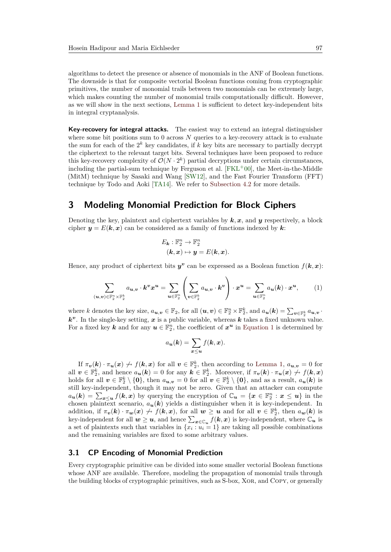algorithms to detect the presence or absence of monomials in the ANF of Boolean functions. The downside is that for composite vectorial Boolean functions coming from cryptographic primitives, the number of monomial trails between two monomials can be extremely large, which makes counting the number of monomial trails computationally difficult. However, as we will show in the next sections, [Lemma 1](#page-4-0) is sufficient to detect key-independent bits in integral cryptanalysis.

**Key-recovery for integral attacks.** The easiest way to extend an integral distinguisher where some bit positions sum to  $0$  across  $N$  queries to a key-recovery attack is to evaluate the sum for each of the  $2^k$  key candidates, if  $k$  key bits are necessary to partially decrypt the ciphertext to the relevant target bits. Several techniques have been proposed to reduce this key-recovery complexity of  $\mathcal{O}(N \cdot 2^k)$  partial decryptions under certain circumstances, including the partial-sum technique by Ferguson et al.  $[FKL<sup>+</sup>00]$  $[FKL<sup>+</sup>00]$ , the Meet-in-the-Middle (MitM) technique by Sasaki and Wang [\[SW12\]](#page-20-7), and the Fast Fourier Transform (FFT) technique by Todo and Aoki [\[TA14\]](#page-20-8). We refer to [Subsection 4.2](#page-10-1) for more details.

# <span id="page-5-0"></span>**3 Modeling Monomial Prediction for Block Ciphers**

Denoting the key, plaintext and ciphertext variables by  $k, x$ , and  $y$  respectively, a block cipher  $y = E(k, x)$  can be considered as a family of functions indexed by k.

$$
E_{\mathbf{k}} : \mathbb{F}_2^n \to \mathbb{F}_2^n
$$

$$
(\mathbf{k}, \mathbf{x}) \mapsto \mathbf{y} = E(\mathbf{k}, \mathbf{x}).
$$

Hence, any product of ciphertext bits  $y^v$  can be expressed as a Boolean function  $f(k, x)$ :

<span id="page-5-1"></span>
$$
\sum_{(\mathbf{u},\mathbf{v}) \in \mathbb{F}_2^n \times \mathbb{F}_2^k} a_{\mathbf{u},\mathbf{v}} \cdot \mathbf{k}^v x^{\mathbf{u}} = \sum_{\mathbf{u} \in \mathbb{F}_2^n} \left( \sum_{\mathbf{v} \in \mathbb{F}_2^k} a_{\mathbf{u},\mathbf{v}} \cdot \mathbf{k}^v \right) \cdot x^{\mathbf{u}} = \sum_{\mathbf{u} \in \mathbb{F}_2^n} a_{\mathbf{u}}(\mathbf{k}) \cdot x^{\mathbf{u}}, \tag{1}
$$

where k denotes the key size,  $a_{\mathbf{u},\mathbf{v}} \in \mathbb{F}_2$ , for all  $(\mathbf{u},\mathbf{v}) \in \mathbb{F}_2^n \times \mathbb{F}_2^k$ , and  $a_{\mathbf{u}}(\mathbf{k}) = \sum_{\mathbf{v} \in \mathbb{F}_2^k} a_{\mathbf{u},\mathbf{v}}$ .  $k^v$ . In the single-key setting,  $x$  is a public variable, whereas  $k$  takes a fixed unknown value. For a fixed key **k** and for any  $u \in \mathbb{F}_2^n$ , the coefficient of  $x^u$  in [Equation 1](#page-5-1) is determined by

$$
a_{\mathbf{u}}(\mathbf{k}) = \sum_{\mathbf{x} \leq \mathbf{u}} f(\mathbf{k}, \mathbf{x}).
$$

If  $\pi_v(k) \cdot \pi_u(x) \nleftrightarrow f(k, x)$  for all  $v \in \mathbb{F}_2^k$ , then according to [Lemma 1,](#page-4-0)  $a_{u,v} = 0$  for all  $v \in \mathbb{F}_2^k$ , and hence  $a_u(k) = 0$  for any  $k \in \mathbb{F}_2^k$ . Moreover, if  $\pi_v(k) \cdot \pi_u(x) \nrightarrow f(k, x)$ holds for all  $v \in \mathbb{F}_2^k \setminus \{0\}$ , then  $a_{u,v} = 0$  for all  $v \in \mathbb{F}_2^k \setminus \{0\}$ , and as a result,  $a_u(k)$  is still key-independent, though it may not be zero. Given that an attacker can compute  $a_{\mathbf{u}}(\mathbf{k}) = \sum_{\mathbf{x} \leq \mathbf{u}} f(\mathbf{k}, \mathbf{x})$  by querying the encryption of  $\mathbb{C}_{\mathbf{u}} = {\mathbf{x} \in \mathbb{F}_2^n : \mathbf{x} \leq \mathbf{u}}$  in the chosen plaintext scenario,  $a_{\mathbf{u}}(\mathbf{k})$  yields a distinguisher when it is key-independent. In addition, if  $\pi_v(k) \cdot \pi_w(x) \nleftrightarrow f(k, x)$ , for all  $w \ge u$  and for all  $v \in \mathbb{F}_2^k$ , then  $a_w(k)$  is key-independent for all  $w \ge u$ , and hence  $\sum_{x \in \mathbb{C}_u} f(k, x)$  is key-independent, where  $\mathbb{C}_u$  is a set of plaintexts such that variables in  $\{x_i : u_i = 1\}$  are taking all possible combinations and the remaining variables are fixed to some arbitrary values.

#### **3.1 CP Encoding of Monomial Prediction**

Every cryptographic primitive can be divided into some smaller vectorial Boolean functions whose ANF are available. Therefore, modeling the propagation of monomial trails through the building blocks of cryptographic primitives, such as S-box, Xor, and Copy, or generally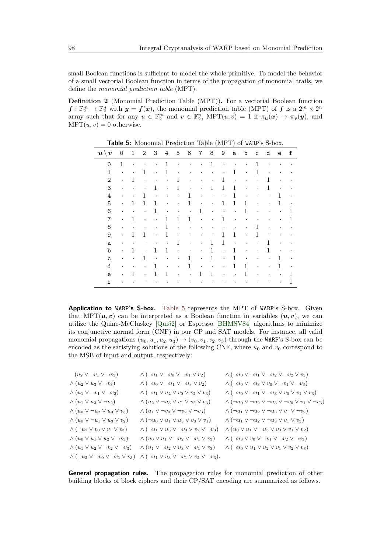small Boolean functions is sufficient to model the whole primitive. To model the behavior of a small vectorial Boolean function in terms of the propagation of monomial trails, we define the *monomial prediction table* (MPT).

**Definition 2** (Monomial Prediction Table (MPT))**.** For a vectorial Boolean function  $f: \mathbb{F}_2^m \to \mathbb{F}_2^n$  with  $y = f(x)$ , the monomial prediction table (MPT) of  $f$  is a  $2^m \times 2^n$ array such that for any  $u \in \mathbb{F}_2^m$  and  $v \in \mathbb{F}_2^n$ , MPT $(u, v) = 1$  if  $\pi_u(x) \to \pi_v(y)$ , and  $MPT(u, v) = 0$  otherwise.

<span id="page-6-0"></span>

| $\bm{u} \setminus$<br>$\boldsymbol{v}$ | 0         | 1            | 2                    | 3            | 4           | 5            | 6            | 7         | 8            | 9            | a            | b                    | C            | d            | e         | f                    |
|----------------------------------------|-----------|--------------|----------------------|--------------|-------------|--------------|--------------|-----------|--------------|--------------|--------------|----------------------|--------------|--------------|-----------|----------------------|
| 0                                      | 1         | $\cdot$      |                      | ٠            | 1           |              |              |           | 1            |              | ٠            | ٠                    | 1            |              |           |                      |
| $\mathbf{1}$                           | $\bullet$ | $\bullet$    | 1                    | $\bullet$    | 1           | $\bullet$    | $\cdot$      | $\bullet$ | $\bullet$    | ٠            | $\mathbf{1}$ | $\bullet$            | $\mathbf{1}$ |              |           | ٠                    |
| $\overline{2}$                         | $\bullet$ | 1            | $\bullet$            | $\bullet$    | $\bullet$   | 1            | $\cdot$      | $\bullet$ | $\bullet$    | 1            | $\bullet$    | $\bullet$            | $\bullet$    | 1            | $\bullet$ | $\bullet$            |
| 3                                      | $\bullet$ | $\bullet$    | $\ddot{\phantom{0}}$ | $\mathbf{1}$ | $\bullet$   | 1            | $\cdot$      | $\bullet$ | 1            | 1            | $\mathbf{1}$ |                      | $\bullet$    | $\mathbf{1}$ | $\cdot$   | ٠                    |
| 4                                      | $\bullet$ | $\bullet$    | 1                    | $\bullet$    | ٠           | $\bullet$    | 1            | $\bullet$ | $\bullet$    | $\bullet$    | 1            | $\ddot{\phantom{0}}$ | $\bullet$    | $\bullet$    | 1         | $\bullet$            |
| 5                                      | $\bullet$ | 1            | $\mathbf{1}$         | 1            | $\bullet$   | $\bullet$    | 1            | $\bullet$ |              | 1            | 1            | 1                    | ٠            | $\bullet$    | 1         | $\bullet$            |
| 6                                      | $\bullet$ | $\bullet$    | $\bullet$            | 1            | $\bullet$   | $\bullet$    | $\bullet$    | 1         | $\bullet$    | $\bullet$    | $\bullet$    | 1                    | $\bullet$    |              | $\bullet$ | 1                    |
| $\overline{7}$                         | $\bullet$ | 1            | $\bullet$            | $\bullet$    | 1           | $\mathbf{1}$ | $\mathbf{1}$ | $\bullet$ | $\bullet$    | 1            |              | ٠                    |              | $\bullet$    | $\bullet$ | 1                    |
| 8                                      | $\bullet$ |              | $\bullet$            | ٠            | 1           | $\bullet$    | $\cdot$      |           |              | ٠            |              | $\bullet$            | 1            | $\bullet$    | ٠         | ٠                    |
| 9                                      | $\bullet$ | 1            | 1                    | $\bullet$    | 1           | $\bullet$    | $\cdot$      | $\bullet$ |              | 1            | $\mathbf 1$  | $\bullet$            | $\mathbf{1}$ | $\bullet$    | ٠         | ٠                    |
| a                                      | $\bullet$ | $\bullet$    | $\bullet$            |              | $\bullet$   | 1            | $\cdot$      | $\bullet$ | 1            | $\mathbf{1}$ | $\bullet$    |                      | $\bullet$    | 1            |           | ٠                    |
| b                                      | $\bullet$ | $\mathbf{1}$ | $\bullet$            | $\mathbf{1}$ | $\mathbf 1$ | $\bullet$    | $\cdot$      | ٠         | 1            | $\bullet$    | 1            | ٠                    | ٠            | $\mathbf{1}$ | $\bullet$ | ٠                    |
| $\mathsf{C}$                           | $\bullet$ | $\bullet$    | 1                    | $\bullet$    | $\bullet$   | $\bullet$    | 1            | $\bullet$ | $\mathbf{1}$ | $\bullet$    | 1            | $\ddot{\phantom{0}}$ | $\bullet$    |              | 1         | $\bullet$            |
| d                                      | $\bullet$ | $\bullet$    | $\ddot{\phantom{0}}$ | 1            | $\bullet$   | $\bullet$    | 1            | $\bullet$ | $\bullet$    | $\bullet$    | 1            | 1                    | $\bullet$    |              | 1         | $\ddot{\phantom{0}}$ |
| $\mathbf e$                            | $\bullet$ | 1            | $\ddot{\phantom{0}}$ | 1            | 1           | $\bullet$    | $\cdot$      | 1         | $\mathbf{1}$ | ٠            | $\bullet$    | 1                    | $\bullet$    |              | $\bullet$ | 1                    |
| f                                      | $\cdot$   |              |                      |              |             |              |              |           |              |              |              |                      |              |              | $\bullet$ | 1                    |

**Table 5:** Monomial Prediction Table (MPT) of WARP's S-box.

**Application to WARP's S-box.** [Table 5](#page-6-0) represents the MPT of WARP's S-box. Given that MPT $(u, v)$  can be interpreted as a Boolean function in variables  $(u, v)$ , we can utilize the Quine-McCluskey [\[Qui52\]](#page-20-12) or Espresso [\[BHMSV84\]](#page-19-9) algorithms to minimize its conjunctive normal form (CNF) in our CP and SAT models. For instance, all valid monomial propagations  $(u_0, u_1, u_2, u_3) \rightarrow (v_0, v_1, v_2, v_3)$  through the WARP's S-box can be encoded as the satisfying solutions of the following CNF, where  $u_0$  and  $v_0$  correspond to the MSB of input and output, respectively:

| $\wedge (\neg u_1 \vee \neg v_0 \vee \neg v_1 \vee v_2)$                                                                  | $\wedge (\neg u_0 \vee \neg u_1 \vee \neg u_2 \vee \neg v_2 \vee v_3)$               |
|---------------------------------------------------------------------------------------------------------------------------|--------------------------------------------------------------------------------------|
| $\wedge (\neg u_0 \vee \neg u_1 \vee \neg u_3 \vee v_2)$                                                                  | $\wedge (\neg u_0 \vee \neg u_3 \vee v_0 \vee \neg v_1 \vee \neg v_3)$               |
| $\wedge (\neg u_1 \vee u_2 \vee v_0 \vee v_2 \vee v_3)$                                                                   | $\wedge (\neg u_0 \vee \neg u_1 \vee \neg u_3 \vee v_0 \vee v_1 \vee v_3)$           |
| $\wedge (u_2 \vee \neg u_3 \vee v_1 \vee v_2 \vee v_3)$                                                                   | $\wedge (\neg u_0 \vee \neg u_2 \vee \neg u_3 \vee \neg v_0 \vee v_1 \vee \neg v_3)$ |
| $\wedge (u_1 \vee \neg v_0 \vee \neg v_2 \vee \neg v_3)$                                                                  | $\wedge (\neg u_1 \vee \neg u_2 \vee \neg u_3 \vee v_1 \vee \neg v_2)$               |
| $\wedge (\neg u_0 \vee u_1 \vee u_3 \vee v_0 \vee v_1)$                                                                   | $\wedge (\neg u_1 \vee \neg u_2 \vee \neg u_3 \vee v_1 \vee v_3)$                    |
| $\wedge (\neg u_1 \vee u_3 \vee \neg v_0 \vee v_2 \vee \neg v_3)$                                                         | $\wedge (u_0 \vee u_1 \vee \neg u_3 \vee v_0 \vee v_1 \vee v_2)$                     |
| $\wedge (u_0 \vee u_1 \vee \neg u_2 \vee \neg v_1 \vee v_3)$                                                              | $\wedge (\neg u_3 \vee v_0 \vee \neg v_1 \vee \neg v_2 \vee \neg v_3)$               |
| $\wedge (u_1 \vee \neg u_2 \vee u_3 \vee \neg v_1 \vee v_3)$                                                              | $\wedge (\neg u_0 \vee u_1 \vee u_2 \vee v_1 \vee v_2 \vee v_3)$                     |
| $\wedge (\neg u_2 \vee \neg v_0 \vee \neg v_1 \vee v_3) \wedge (\neg u_1 \vee u_3 \vee \neg v_1 \vee v_2 \vee \neg v_3).$ |                                                                                      |
|                                                                                                                           |                                                                                      |

**General propagation rules.** The propagation rules for monomial prediction of other building blocks of block ciphers and their CP/SAT encoding are summarized as follows.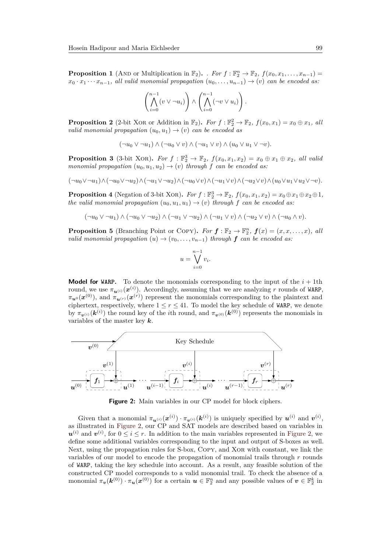**Proposition 1** (AND or Multiplication in  $\mathbb{F}_2$ ). *. For*  $f : \mathbb{F}_2^n \to \mathbb{F}_2$ ,  $f(x_0, x_1, \ldots, x_{n-1}) =$  $x_0 \cdot x_1 \cdots x_{n-1}$ , all valid monomial propagation  $(u_0, \ldots, u_{n-1}) \rightarrow (v)$  can be encoded as:

$$
\left(\bigwedge_{i=0}^{n-1} (v \vee \neg u_i)\right) \wedge \left(\bigwedge_{i=0}^{n-1} (\neg v \vee u_i)\right).
$$

**Proposition 2** (2-bit XOR or Addition in  $\mathbb{F}_2$ ). *For*  $f : \mathbb{F}_2^2 \to \mathbb{F}_2$ ,  $f(x_0, x_1) = x_0 \oplus x_1$ , all *valid monomial propagation*  $(u_0, u_1) \rightarrow (v)$  *can be encoded as* 

$$
(\neg u_0 \vee \neg u_1) \wedge (\neg u_0 \vee v) \wedge (\neg u_1 \vee v) \wedge (u_0 \vee u_1 \vee \neg v).
$$

**Proposition 3** (3-bit XOR). For  $f : \mathbb{F}_2^3 \to \mathbb{F}_2$ ,  $f(x_0, x_1, x_2) = x_0 \oplus x_1 \oplus x_2$ , all valia *monomial propagation*  $(u_0, u_1, u_2) \rightarrow (v)$  *through f can be encoded as:* 

$$
(\neg u_0 \vee \neg u_1) \wedge (\neg u_0 \vee \neg u_2) \wedge (\neg u_1 \vee \neg u_2) \wedge (\neg u_0 \vee v) \wedge (\neg u_1 \vee v) \wedge (\neg u_2 \vee v) \wedge (u_0 \vee u_1 \vee u_2 \vee \neg v).
$$

**Proposition 4** (Negation of 3-bit XOR). *For*  $f : \mathbb{F}_2^3 \to \mathbb{F}_2$ ,  $f(x_0, x_1, x_2) = x_0 \oplus x_1 \oplus x_2 \oplus 1$ , *the valid monomial propagation*  $(u_0, u_1, u_1) \rightarrow (v)$  *through f can be encoded as:* 

$$
(\neg u_0 \vee \neg u_1) \wedge (\neg u_0 \vee \neg u_2) \wedge (\neg u_1 \vee \neg u_2) \wedge (\neg u_1 \vee v) \wedge (\neg u_2 \vee v) \wedge (\neg u_0 \wedge v).
$$

**Proposition 5** (Branching Point or COPY). For  $f : \mathbb{F}_2 \to \mathbb{F}_2^n$ ,  $f(x) = (x, x, \dots, x)$ , all *valid monomial propagation*  $(u) \rightarrow (v_0, \ldots, v_{n-1})$  *through* **f** *can be encoded as:* 

$$
u = \bigvee_{i=0}^{n-1} v_i.
$$

**Model for WARP.** To denote the monomials corresponding to the input of the  $i + 1$ th round, we use  $\pi_{u^{(i)}}(x^{(i)})$ . Accordingly, assuming that we are analyzing r rounds of WARP,  $\pi_{\bm{u}^0}(\bm{x}^{(0)})$ , and  $\pi_{\bm{u}^{(r)}}(\bm{x}^{(r)})$  represent the monomials corresponding to the plaintext and ciphertext, respectively, where  $1 \leq r \leq 41$ . To model the key schedule of WARP, we denote by  $\pi_{v^{(i)}}(\mathbf{k}^{(i)})$  the round key of the *i*th round, and  $\pi_{v^{(0)}}(\mathbf{k}^{(0)})$  represents the monomials in variables of the master key *k*.

<span id="page-7-0"></span>

**Figure 2:** Main variables in our CP model for block ciphers.

Given that a monomial  $\pi_{u^{(i)}}(x^{(i)}) \cdot \pi_{v^{(i)}}(k^{(i)})$  is uniquely specified by  $u^{(i)}$  and  $v^{(i)}$ , as illustrated in [Figure 2,](#page-7-0) our CP and SAT models are described based on variables in  $u^{(i)}$  and  $v^{(i)}$ , for  $0 \leq i \leq r$ . In addition to the main variables represented in [Figure 2,](#page-7-0) we define some additional variables corresponding to the input and output of S-boxes as well. Next, using the propagation rules for S-box, Copy, and Xor with constant, we link the variables of our model to encode the propagation of monomial trails through *r* rounds of WARP, taking the key schedule into account. As a result, any feasible solution of the constructed CP model corresponds to a valid monomial trail. To check the absence of a monomial  $\pi_v(k^{(0)}) \cdot \pi_u(x^{(0)})$  for a certain  $u \in \mathbb{F}_2^n$  and any possible values of  $v \in \mathbb{F}_2^k$  in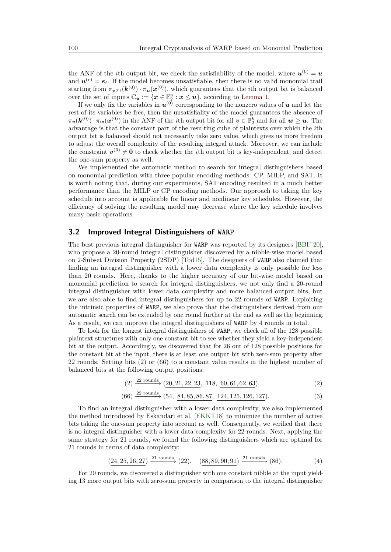the ANF of the *i*th output bit, we check the satisfiability of the model, where  $u^{(0)} = u$ and  $u^{(r)} = e_i$ . If the model becomes unsatisfiable, then there is no valid monomial trail starting from  $\pi_{\bm{v}^{(0)}}(\bm{k}^{(0)}) \cdot \pi_{\bm{u}}(\bm{x}^{(0)})$ , which guarantees that the *i*th output bit is balanced over the set of inputs  $\mathbb{C}_u := \{ x \in \mathbb{F}_2^n : x \leq u \}$ , according to [Lemma 1.](#page-4-0)

If we only fix the variables in  $u^{(0)}$  corresponding to the nonzero values of  $u$  and let the rest of its variables be free, then the unsatisfiality of the model guarantees the absence of  $\pi_v(k^{(0)}) \cdot \pi_w(x^{(0)})$  in the ANF of the *i*th output bit for all  $v \in \mathbb{F}_2^k$  and for all  $w \geq u$ . The advantage is that the constant part of the resulting cube of plaintexts over which the *i*th output bit is balanced should not necessarily take zero value, which gives us more freedom to adjust the overall complexity of the resulting integral attack. Moreover, we can include the constraint  $v^{(0)} \neq 0$  to check whether the *i*th output bit is key-independent, and detect the one-sum property as well.

We implemented the automatic method to search for integral distinguishers based on monomial prediction with three popular encoding methods: CP, MILP, and SAT. It is worth noting that, during our experiments, SAT encoding resulted in a much better performance than the MILP or CP encoding methods. Our approach to taking the key schedule into account is applicable for linear and nonlinear key schedules. However, the efficiency of solving the resulting model may decrease where the key schedule involves many basic operations.

#### <span id="page-8-0"></span>**3.2 Improved Integral Distinguishers of WARP**

The best previous integral distinguisher for WARP was reported by its designers  $[BBI+20]$  $[BBI+20]$ . who propose a 20-round integral distinguisher discovered by a nibble-wise model based on 2-Subset Division Property (2SDP) [\[Tod15\]](#page-20-13). The designers of WARP also claimed that finding an integral distinguisher with a lower data complexity is only possible for less than 20 rounds. Here, thanks to the higher accuracy of our bit-wise model based on monomial prediction to search for integral distinguishers, we not only find a 20-round integral distinguisher with lower data complexity and more balanced output bits, but we are also able to find integral distinguishers for up to 22 rounds of WARP. Exploiting the intrinsic properties of WARP, we also prove that the distinguishers derived from our automatic search can be extended by one round further at the end as well as the beginning. As a result, we can improve the integral distinguishers of WARP by 4 rounds in total.

To look for the longest integral distinguishers of WARP, we check all of the 128 possible plaintext structures with only one constant bit to see whether they yield a key-independent bit at the output. Accordingly, we discovered that for 26 out of 128 possible positions for the constant bit at the input, there is at least one output bit with zero-sum property after 22 rounds. Setting bits (2) or (66) to a constant value results in the highest number of balanced bits at the following output positions:

<span id="page-8-2"></span><span id="page-8-1"></span>
$$
(2) \xrightarrow{22 \text{ rounds}} (20, 21, 22, 23, 118, 60, 61, 62, 63), \tag{2}
$$

$$
(66) \xrightarrow{22 \text{ rounds}} (54, 84, 85, 86, 87, 124, 125, 126, 127). \tag{3}
$$

To find an integral distinguisher with a lower data complexity, we also implemented the method introduced by Eskandari et al. [\[EKKT18\]](#page-19-10) to minimize the number of active bits taking the one-sum property into account as well. Consequently, we verified that there is no integral distinguisher with a lower data complexity for 22 rounds. Next, applying the same strategy for 21 rounds, we found the following distinguishers which are optimal for 21 rounds in terms of data complexity:

<span id="page-8-3"></span>
$$
(24, 25, 26, 27) \xrightarrow{21 \text{ rounds}} (22), \quad (88, 89, 90, 91) \xrightarrow{21 \text{ rounds}} (86). \tag{4}
$$

For 20 rounds, we discovered a distinguisher with one constant nibble at the input yielding 13 more output bits with zero-sum property in comparison to the integral distinguisher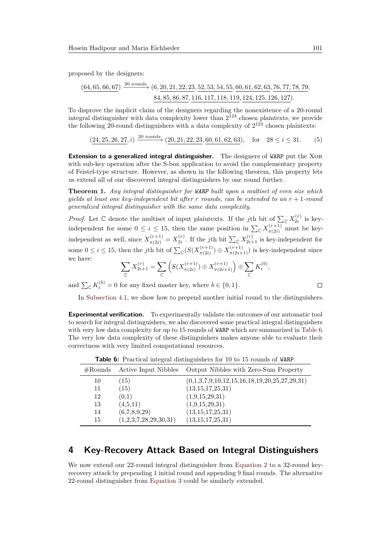proposed by the designers:

$$
\frac{(64,65,66,67)}{84,85,86,87,116,117,118,119,124,125,126,127}.
$$

To disprove the implicit claim of the designers regarding the nonexistence of a 20-round integral distinguisher with data complexity lower than  $2^{124}$  chosen plaintexts, we provide the following 20-round distinguishers with a data complexity of  $2^{123}$  chosen plaintexts:

<span id="page-9-3"></span> $(24, 25, 26, 27, i) \xrightarrow{20 \text{ rounds}} (20, 21, 22, 23, 60, 61, 62, 63), \text{ for } 28 \le i \le 31.$  (5)

**Extension to a generalized integral distinguisher.** The designers of WARP put the XOR with sub-key operation after the S-box application to avoid the complementary property of Feistel-type structure. However, as shown in the following theorem, this property lets us extend all of our discovered integral distinguishers by one round further.

<span id="page-9-2"></span>**Theorem 1.** *Any integral distinguisher for WARP built upon a multiset of even size which yields at least one key-independent bit after r rounds, can be extended to an r* + 1*-round generalized integral distinguisher with the same data complexity.*

*Proof.* Let  $\mathbb C$  denote the multiset of input plaintexts. If the *j*th bit of  $\sum_{\mathbb C} X_{2i}^{(r)}$  is keyindependent for some  $0 \le i \le 15$ , then the same position in  $\sum_{\mathbb{C}} X_{\pi(2i)}^{(r+1)}$  must be keyindependent as well, since  $X_{\pi(2i)}^{(r+1)} = X_{2i}^{(r)}$ . If the *j*th bit  $\sum_{\mathbb{C}} X_{2i+1}^{(r)}$  is key-independent for some  $0 \leq i \leq 15$ , then the *j*th bit of  $\sum_{\mathbb{C}} (S(X_{\pi(2i)}^{(r+1)})$  $\pi^{(r+1)}_{\pi(2i)}$   $\oplus$   $X^{(r+1)}_{\pi(2i+1)}$ ) is key-independent since we have:

$$
\sum_{\mathbb{C}} X_{2i+1}^{(r)} = \sum_{\mathbb{C}} \left( S(X_{\pi(2i)}^{(r+1)}) \oplus X_{\pi(2i+1)}^{(r+1)} \right) \oplus \sum_{\mathbb{C}} K_i^{(b)},
$$

and  $\sum_{\mathbb{C}} K_i^{(b)} = 0$  for any fixed master key, where  $b \in \{0, 1\}.$ 

$$
\Box
$$

In [Subsection 4.1,](#page-10-0) we show how to prepend another initial round to the distinguishers.

**Experimental verification.** To experimentally validate the outcomes of our automatic tool to search for integral distinguishers, we also discovered some practical integral distinguishers with very low data complexity for up to 15 rounds of WARP which are summarized in [Table 6.](#page-9-1) The very low data complexity of these distinguishers makes anyone able to evaluate their correctness with very limited computational resources.

<span id="page-9-1"></span>#Rounds Active Input Nibbles Output Nibbles with Zero-Sum Property  $10 \hspace{1.5cm} (15) \hspace{3.5cm} (0,1,3,7,9,10,12,15,16,18,19,20,25,27,29,31)$ 11 (15) (13,15,17,25,31)  $12 \qquad (0,1) \qquad (1,9,15,29,31)$ 13 (4,5,11) (1,9,15,29,31) 14 (6,7,8,9,29) (13,15,17,25,31) 15 (1,2,3,7,28,29,30,31) (13,15,17,25,31)

**Table 6:** Practical integral distinguishers for 10 to 15 rounds of WARP.

# <span id="page-9-0"></span>**4 Key-Recovery Attack Based on Integral Distinguishers**

We now extend our 22-round integral distinguisher from [Equation 2](#page-8-1) to a 32-round keyrecovery attack by prepending 1 initial round and appending 9 final rounds. The alternative 22-round distinguisher from [Equation 3](#page-8-2) could be similarly extended.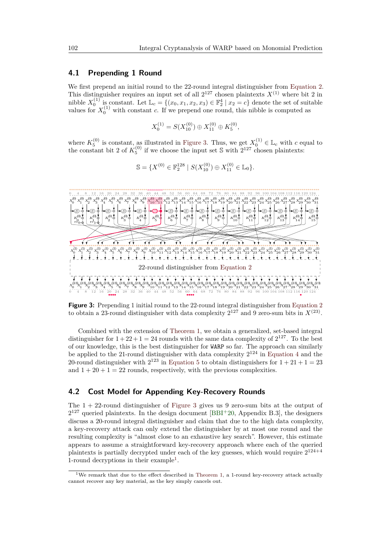### <span id="page-10-0"></span>**4.1 Prepending 1 Round**

We first prepend an initial round to the 22-round integral distinguisher from [Equation 2.](#page-8-1) This distinguisher requires an input set of all  $2^{127}$  chosen plaintexts  $X^{(1)}$  where bit 2 in nibble  $X_0^{(1)}$  is constant. Let  $\mathbb{L}_c = \{(x_0, x_1, x_2, x_3) \in \mathbb{F}_2^4 \mid x_2 = c\}$  denote the set of suitable values for  $X_0^{(1)}$  with constant *c*. If we prepend one round, this nibble is computed as

$$
X_0^{(1)} = S(X_{10}^{(0)}) \oplus X_{11}^{(0)} \oplus K_5^{(0)},
$$

where  $K_5^{(0)}$  is constant, as illustrated in [Figure 3.](#page-10-2) Thus, we get  $X_0^{(1)} \in \mathbb{L}_c$  with *c* equal to the constant bit 2 of  $K_5^{(0)}$  if we choose the input set S with  $2^{127}$  chosen plaintexts:

$$
\mathbb{S} = \{ X^{(0)} \in \mathbb{F}_2^{128} \mid S(X_{10}^{(0)}) \oplus X_{11}^{(0)} \in \mathbb{L}_0 \}.
$$

<span id="page-10-2"></span>

**Figure 3:** Prepending 1 initial round to the 22-round integral distinguisher from [Equation 2](#page-8-1) to obtain a 23-round distinguisher with data complexity  $2^{127}$  and 9 zero-sum bits in  $X^{(23)}$ .

Combined with the extension of [Theorem 1,](#page-9-2) we obtain a generalized, set-based integral distinguisher for  $1+22+1=24$  rounds with the same data complexity of  $2^{127}$ . To the best of our knowledge, this is the best distinguisher for WARP so far. The approach can similarly be applied to the 21-round distinguisher with data complexity  $2^{124}$  in [Equation 4](#page-8-3) and the 20-round distinguisher with  $2^{123}$  in [Equation 5](#page-9-3) to obtain distinguishers for  $1+21+1=23$ and  $1 + 20 + 1 = 22$  rounds, respectively, with the previous complexities.

### <span id="page-10-1"></span>**4.2 Cost Model for Appending Key-Recovery Rounds**

The 1 + 22-round distinguisher of [Figure 3](#page-10-2) gives us 9 zero-sum bits at the output of  $2^{127}$  queried plaintexts. In the design document [\[BBI](#page-19-4)+20, Appendix B.3], the designers discuss a 20-round integral distinguisher and claim that due to the high data complexity, a key-recovery attack can only extend the distinguisher by at most one round and the resulting complexity is "almost close to an exhaustive key search". However, this estimate appears to assume a straightforward key-recovery approach where each of the queried plaintexts is partially decrypted under each of the key guesses, which would require  $2^{124+4}$ [1](#page-10-3)-round decryptions in their example<sup>1</sup>.

<span id="page-10-3"></span><sup>&</sup>lt;sup>1</sup>We remark that due to the effect described in [Theorem 1,](#page-9-2) a 1-round key-recovery attack actually cannot recover any key material, as the key simply cancels out.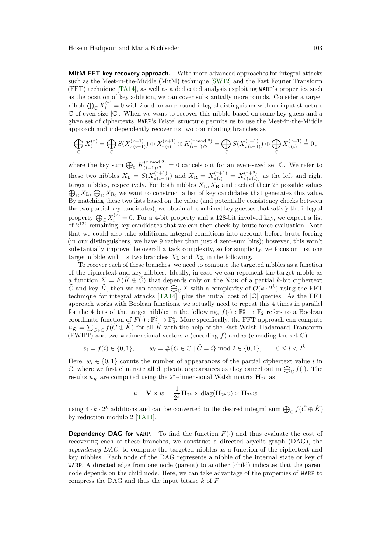**MitM FFT key-recovery approach.** With more advanced approaches for integral attacks such as the Meet-in-the-Middle (MitM) technique [\[SW12\]](#page-20-7) and the Fast Fourier Transform (FFT) technique [\[TA14\]](#page-20-8), as well as a dedicated analysis exploiting WARP's properties such as the position of key addition, we can cover substantially more rounds. Consider a target nibble  $\bigoplus_{\mathbb C} X_i^{(r)}=0$  with *i* odd for an *r*-round integral distinguisher with an input structure  $\mathbb C$  of even size  $|\mathbb C|$ . When we want to recover this nibble based on some key guess and a given set of ciphertexts, WARP's Feistel structure permits us to use the Meet-in-the-Middle approach and independently recover its two contributing branches as

$$
\bigoplus_{\mathbb{C}} X_i^{(r)} = \bigoplus_{\mathbb{C}} S(X_{\pi(i-1)}^{(r+1)}) \oplus X_{\pi(i)}^{(r+1)} \oplus K_{(i-1)/2}^{(r \bmod 2)} = \bigoplus_{\mathbb{C}} S(X_{\pi(i-1)}^{(r+1)}) \oplus \bigoplus_{\mathbb{C}} X_{\pi(i)}^{(r+1)} \stackrel{!}{=} 0,
$$

where the key sum  $\bigoplus_{\mathbb{C}} K_{(i-1)/2}^{(r \mod 2)} = 0$  cancels out for an even-sized set  $\mathbb{C}$ . We refer to these two nibbles  $X_L = S(X_{\pi(i-1)}^{(r+1)})$  and  $X_R = X_{\pi(i)}^{(r+1)} = X_{\pi(\pi(i))}^{(r+2)}$  as the left and right target nibbles, respectively. For both nibbles  $X_L, X_R$  and each of their  $2^4$  possible values  $\bigoplus_{\mathbb{C}} X_{\mathbb{L}}, \bigoplus_{\mathbb{C}} X_{\mathbb{R}}$ , we want to construct a list of key candidates that generates this value. By matching these two lists based on the value (and potentially consistency checks between the two partial key candidates), we obtain all combined key guesses that satisfy the integral property  $\bigoplus_{\mathbb{C}} X_i^{(r)} = 0$ . For a 4-bit property and a 128-bit involved key, we expect a list of  $2^{124}$  remaining key candidates that we can then check by brute-force evaluation. Note that we could also take additional integral conditions into account before brute-forcing (in our distinguishers, we have 9 rather than just 4 zero-sum bits); however, this won't substantially improve the overall attack complexity, so for simplicity, we focus on just one target nibble with its two branches  $X_L$  and  $X_R$  in the following.

To recover each of these branches, we need to compute the targeted nibbles as a function of the ciphertext and key nibbles. Ideally, in case we can represent the target nibble as a function  $X = F(\tilde{K} \oplus \tilde{C})$  that depends only on the XOR of a partial *k*-bit ciphertext  $\tilde{C}$  and key  $\tilde{K}$ , then we can recover  $\bigoplus_{\mathbb{C}} X$  with a complexity of  $\mathcal{O}(k \cdot 2^k)$  using the FFT technique for integral attacks [\[TA14\]](#page-20-8), plus the initial cost of  $|C|$  queries. As the FFT approach works with Boolean functions, we actually need to repeat this 4 times in parallel for the 4 bits of the target nibble; in the following,  $f(\cdot) : \mathbb{F}_2^k \to \mathbb{F}_2$  refers to a Boolean coordinate function of  $F(\cdot): \mathbb{F}_2^k \to \mathbb{F}_2^4$ . More specifically, the FFT approach can compute  $u_{\tilde{K}} = \sum_{C \in \mathbb{C}} f(\tilde{C} \oplus \tilde{K})$  for all  $\tilde{K}$  with the help of the Fast Walsh-Hadamard Transform (FWHT) and two *k*-dimensional vectors  $v$  (encoding  $f$ ) and  $w$  (encoding the set  $\mathbb{C}$ ):

$$
v_i = f(i) \in \{0, 1\},
$$
  $w_i = #\{C \in \mathbb{C} \mid \tilde{C} = i\} \mod 2 \in \{0, 1\},$   $0 \le i < 2^k.$ 

Here,  $w_i \in \{0,1\}$  counts the number of appearances of the partial ciphertext value *i* in C, where we first eliminate all duplicate appearances as they cancel out in  $\bigoplus_{\mathbb{C}} f(\cdot)$ . The results  $u_{\tilde{K}}$  are computed using the  $2^k$ -dimensional Walsh matrix  $\mathbf{H}_{2^k}$  as

$$
u = \mathbf{V} \times w = \frac{1}{2^k} \mathbf{H}_{2^k} \times \text{diag}(\mathbf{H}_{2^k} v) \times \mathbf{H}_{2^k} w
$$

using  $4 \cdot k \cdot 2^k$  additions and can be converted to the desired integral sum  $\bigoplus_{\mathbb{C}} f(\tilde{C} \oplus \tilde{K})$ by reduction modulo 2 [\[TA14\]](#page-20-8).

**Dependency DAG for WARP.** To find the function *F*(·) and thus evaluate the cost of recovering each of these branches, we construct a directed acyclic graph (DAG), the *dependency DAG*, to compute the targeted nibbles as a function of the ciphertext and key nibbles. Each node of the DAG represents a nibble of the internal state or key of WARP. A directed edge from one node (parent) to another (child) indicates that the parent node depends on the child node. Here, we can take advantage of the properties of WARP to compress the DAG and thus the input bitsize *k* of *F*.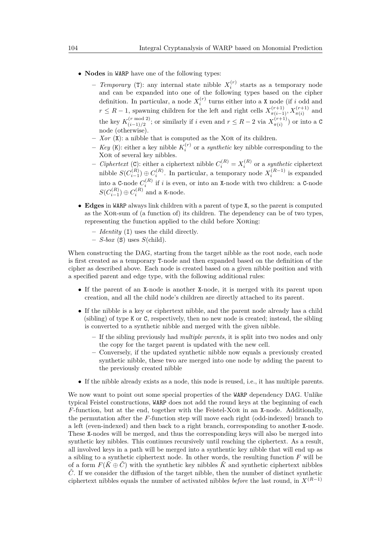- **Nodes** in WARP have one of the following types:
	- **–** *Temporary* (T): any internal state nibble *X* (*r*) *i* starts as a temporary node and can be expanded into one of the following types based on the cipher definition. In particular, a node  $X_i^{(r)}$  turns either into a X node (if *i* odd and  $r \leq R-1$ , spawning children for the left and right cells  $X_{\pi(i-1)}^{(r+1)}, X_{\pi(i)}^{(r+1)}$  and the key  $K_{(i-1)/2}^{(r \mod 2)}$  $(i^{r \mod 2})$ ; or similarly if *i* even and  $r \leq R-2$  via  $X_{\pi(i)}^{(r+1)}$  $\binom{n+1}{\pi(i)}$  or into a C node (otherwise).
	- $Xor$  ( $\dot{\mathbf{x}}$ ): a nibble that is computed as the XOR of its children.
	- $-$  *Key* (K): either a key nibble  $K_i^{(r)}$  or a *synthetic* key nibble corresponding to the Xor of several key nibbles.
	- $\text{C}$  *Ciphertext* (C): either a ciphertext nibble  $C_i^{(R)} = X_i^{(R)}$  or a *synthetic* ciphertext nibble  $S(C_{i-1}^{(R)}) \oplus C_i^{(R)}$ . In particular, a temporary node  $X_i^{(R-1)}$  is expanded into a C-node  $C_i^{(R)}$  if *i* is even, or into an X-node with two children: a C-node  $S(C_{i-1}^{(R)}) \oplus C_i^{(R)}$  and a K-node.
- **Edges** in WARP always link children with a parent of type X, so the parent is computed as the Xor-sum of (a function of) its children. The dependency can be of two types, representing the function applied to the child before Xoring:
	- **–** *Identity* (I) uses the child directly.
	- **–** *S-box* (S) uses *S*(child).

When constructing the DAG, starting from the target nibble as the root node, each node is first created as a temporary T-node and then expanded based on the definition of the cipher as described above. Each node is created based on a given nibble position and with a specified parent and edge type, with the following additional rules:

- If the parent of an X-node is another X-node, it is merged with its parent upon creation, and all the child node's children are directly attached to its parent.
- If the nibble is a key or ciphertext nibble, and the parent node already has a child (sibling) of type K or C, respectively, then no new node is created; instead, the sibling is converted to a synthetic nibble and merged with the given nibble.
	- **–** If the sibling previously had *multiple parents*, it is split into two nodes and only the copy for the target parent is updated with the new cell.
	- **–** Conversely, if the updated synthetic nibble now equals a previously created synthetic nibble, these two are merged into one node by adding the parent to the previously created nibble
- If the nibble already exists as a node, this node is reused, i.e., it has multiple parents.

We now want to point out some special properties of the WARP dependency DAG. Unlike typical Feistel constructions, WARP does not add the round keys at the beginning of each *F*-function, but at the end, together with the Feistel-XOR in an X-node. Additionally, the permutation after the *F*-function step will move each right (odd-indexed) branch to a left (even-indexed) and then back to a right branch, corresponding to another X-node. These X-nodes will be merged, and thus the corresponding keys will also be merged into synthetic key nibbles. This continues recursively until reaching the ciphertext. As a result, all involved keys in a path will be merged into a synthentic key nibble that will end up as a sibling to a synthetic ciphertext node. In other words, the resulting function *F* will be of a form  $F(\tilde{K} \oplus \tilde{C})$  with the synthetic key nibbles  $\tilde{K}$  and synthetic ciphertext nibbles  $\tilde{C}$ . If we consider the diffusion of the target nibble, then the number of distinct synthetic ciphertext nibbles equals the number of activated nibbles *before* the last round, in *X*(*R*−1)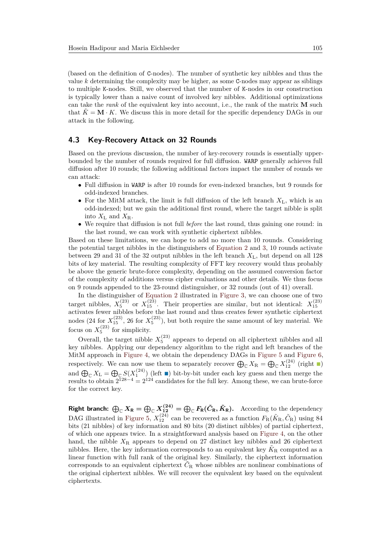(based on the definition of C-nodes). The number of synthetic key nibbles and thus the value *k* determining the complexity may be higher, as some C-nodes may appear as siblings to multiple K-nodes. Still, we observed that the number of K-nodes in our construction is typically lower than a naive count of involved key nibbles. Additional optimizations can take the *rank* of the equivalent key into account, i.e., the rank of the matrix **M** such that  $\tilde{K} = \mathbf{M} \cdot K$ . We discuss this in more detail for the specific dependency DAGs in our attack in the following.

### **4.3 Key-Recovery Attack on 32 Rounds**

Based on the previous discussion, the number of key-recovery rounds is essentially upperbounded by the number of rounds required for full diffusion. WARP generally achieves full diffusion after 10 rounds; the following additional factors impact the number of rounds we can attack:

- Full diffusion in WARP is after 10 rounds for even-indexed branches, but 9 rounds for odd-indexed branches.
- For the MitM attack, the limit is full diffusion of the left branch  $X_L$ , which is an odd-indexed; but we gain the additional first round, where the target nibble is split into  $X_{\text{L}}$  and  $X_{\text{R}}$ .
- We require that diffusion is not full *before* the last round, thus gaining one round: in the last round, we can work with synthetic ciphertext nibbles.

Based on these limitations, we can hope to add no more than 10 rounds. Considering the potential target nibbles in the distinguishers of [Equation 2](#page-8-1) and [3,](#page-8-2) 10 rounds activate between 29 and 31 of the 32 output nibbles in the left branch *X*L, but depend on all 128 bits of key material. The resulting complexity of FFT key recovery would thus probably be above the generic brute-force complexity, depending on the assumed conversion factor of the complexity of additions versus cipher evaluations and other details. We thus focus on 9 rounds appended to the 23-round distinguisher, or 32 rounds (out of 41) overall.

In the distinguisher of [Equation 2](#page-8-1) illustrated in [Figure 3,](#page-10-2) we can choose one of two target nibbles,  $X_5^{(23)}$  or  $X_{15}^{(23)}$ . Their properties are similar, but not identical:  $X_{15}^{(23)}$  activates fewer nibbles before the last round and thus creates fewer synthetic ciphertext nodes (24 for  $X_{15}^{(23)}$ , 26 for  $X_{5}^{(23)}$ ), but both require the same amount of key material. We focus on  $X_5^{(23)}$  for simplicity.

Overall, the target nibble  $X_5^{(23)}$  appears to depend on all ciphertext nibbles and all key nibbles. Applying our dependency algorithm to the right and left branches of the MitM approach in [Figure 4,](#page-14-0) we obtain the dependency DAGs in [Figure 5](#page-15-0) and [Figure 6,](#page-17-0) respectively. We can now use them to separately recover  $\bigoplus_{\mathbb{C}} X_{\mathbb{R}} = \bigoplus_{\mathbb{C}} X_{12}^{(24)}$  (right  $\blacksquare$ ) and  $\bigoplus_{\mathbb{C}} X_{\mathbb{L}} = \bigoplus_{\mathbb{C}} S(X_1^{(24)})$  (left  $\blacksquare$ ) bit-by-bit under each key guess and then merge the results to obtain  $2^{128-4} = 2^{124}$  candidates for the full key. Among these, we can brute-force for the correct key.

**Right branch:**  $\bigoplus_{\mathbb{C}} X_{\mathsf{R}} = \bigoplus_{\mathbb{C}} X_{12}^{(24)} = \bigoplus_{\mathbb{C}} F_{\mathsf{R}}(\tilde{C}_{\mathsf{R}}, \tilde{K}_{\mathsf{R}}).$  According to the dependency DAG illustrated in [Figure 5,](#page-15-0)  $X_{12}^{(24)}$  can be recovered as a function  $F_R(\tilde{K}_R, \tilde{C}_R)$  using 84 bits (21 nibbles) of key information and 80 bits (20 distinct nibbles) of partial ciphertext, of which one appears twice. In a straightforward analysis based on [Figure 4,](#page-14-0) on the other hand, the nibble  $X_R$  appears to depend on 27 distinct key nibbles and 26 ciphertext nibbles. Here, the key information corresponds to an equivalent key  $\tilde{K}_{\rm R}$  computed as a linear function with full rank of the original key. Similarly, the ciphertext information corresponds to an equivalent ciphertext  $\tilde{C}_R$  whose nibbles are nonlinear combinations of the original ciphertext nibbles. We will recover the equivalent key based on the equivalent ciphertexts.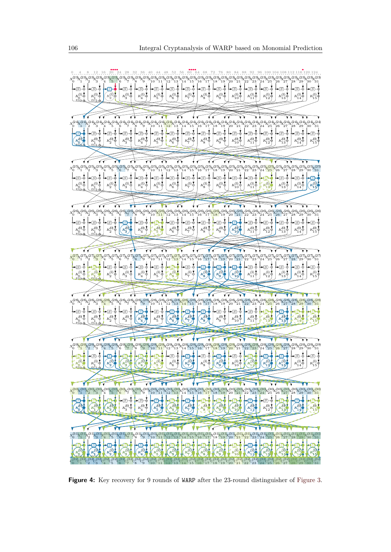

<span id="page-14-0"></span>

**Figure 4:** Key recovery for 9 rounds of WARP after the 23-round distinguisher of [Figure 3.](#page-10-2)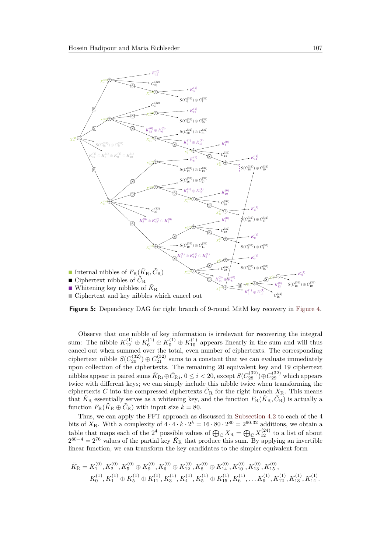<span id="page-15-0"></span>![](_page_15_Figure_1.jpeg)

**Figure 5:** Dependency DAG for right branch of 9-round MitM key recovery in [Figure 4.](#page-14-0)

Observe that one nibble of key information is irrelevant for recovering the integral sum: The nibble  $K_{12}^{(1)} \oplus K_6^{(1)} \oplus K_{10}^{(1)} \oplus K_{10}^{(1)}$  appears linearly in the sum and will thus cancel out when summed over the total, even number of ciphertexts. The corresponding ciphertext nibble  $S(C_{20}^{(32)}) \oplus C_{21}^{(32)}$  sums to a constant that we can evaluate immediately upon collection of the ciphertexts. The remaining 20 equivalent key and 19 ciphertext nibbles appear in paired sums  $\tilde{K}_{\text{R}i} \oplus \tilde{C}_{\text{R}i}$ ,  $0 \leq i < 20$ , except  $S(C_{28}^{(32)}) \oplus C_{29}^{(32)}$  which appears twice with different keys; we can simply include this nibble twice when transforming the ciphertexts *C* into the compressed ciphertexts  $\tilde{C}_R$  for the right branch  $X_R$ . This means that  $\tilde{K}_R$  essentially serves as a whitening key, and the function  $F_R(\tilde{K}_R, \tilde{C}_R)$  is actually a function  $F_{\rm R}(\tilde{K}_{\rm R} \oplus \tilde{C}_{\rm R})$  with input size  $k = 80$ .

Thus, we can apply the FFT approach as discussed in [Subsection 4.2](#page-10-1) to each of the 4 bits of  $X_R$ . With a complexity of  $4 \cdot 4 \cdot k \cdot 2^k = 16 \cdot 80 \cdot 2^{80} = 2^{90.32}$  additions, we obtain a table that maps each of the  $2^4$  possible values of  $\bigoplus_{\mathbb{C}} X_{\mathbb{R}} = \bigoplus_{\mathbb{C}} X_{12}^{(24)}$  to a list of about  $2^{80-4} = 2^{76}$  values of the partial key  $\tilde{K}_R$  that produce this sum. By applying an invertible linear function, we can transform the key candidates to the simpler equivalent form

$$
\tilde{K}_{\rm R} = K_1^{(0)}, K_2^{(0)}, K_5^{(0)} \oplus K_9^{(0)}, K_6^{(0)} \oplus K_{12}^{(0)}, K_8^{(0)} \oplus K_{14}^{(0)}, K_{10}^{(0)}, K_{13}^{(0)}, K_{15}^{(0)},
$$
\n
$$
K_0^{(1)}, K_1^{(1)} \oplus K_5^{(1)} \oplus K_{11}^{(1)}, K_3^{(1)}, K_4^{(1)}, K_5^{(1)} \oplus K_{15}^{(1)}, K_6^{(1)}, \ldots K_9^{(1)}, K_{12}^{(1)}, K_{13}^{(1)}, K_{14}^{(1)}.
$$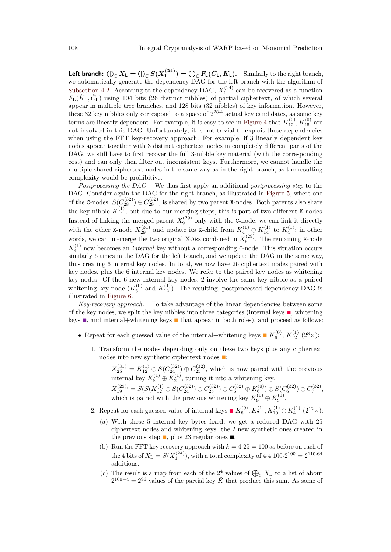**Left branch:**  $\bigoplus_{\mathbb C} X_{\mathsf L} = \bigoplus_{\mathbb C} S(X_1^{(24)}) = \bigoplus_{\mathbb C} F_{\mathsf L}(\tilde{C}_{\mathsf L}, \tilde{K}_{\mathsf L}).$  Similarly to the right branch, we automatically generate the dependency DAG for the left branch with the algorithm of [Subsection 4.2.](#page-10-1) According to the dependency DAG,  $X_1^{(24)}$  can be recovered as a function  $F_{\rm L}(\tilde{K}_{\rm L},\tilde{C}_{\rm L})$  using 104 bits (26 distinct nibbles) of partial ciphertext, of which several appear in multiple tree branches, and 128 bits (32 nibbles) of key information. However, these 32 key nibbles only correspond to a space of  $2^{28.4}$  actual key candidates, as some key terms are linearly dependent. For example, it is easy to see in [Figure 4](#page-14-0) that  $K_{12}^{(0)}$ ,  $K_{15}^{(0)}$  are not involved in this DAG. Unfortunately, it is not trivial to exploit these dependencies when using the FFT key-recovery approach: For example, if 3 linearly dependent key nodes appear together with 3 distinct ciphertext nodes in completely different parts of the DAG, we still have to first recover the full 3-nibble key material (with the corresponding cost) and can only then filter out inconsistent keys. Furthermore, we cannot handle the multiple shared ciphertext nodes in the same way as in the right branch, as the resulting complexity would be prohibitive.

*Postprocessing the DAG.* We thus first apply an additional *postprocessing step* to the DAG. Consider again the DAG for the right branch, as illustrated in [Figure 5,](#page-15-0) where one of the C-nodes,  $S(C_{28}^{(32)}) \oplus C_{29}^{(32)}$ , is shared by two parent X-nodes. Both parents also share the key nibble  $K_{14}^{(1)}$ , but due to our merging steps, this is part of two different K-nodes. Instead of linking the merged parent  $X_9^{(29)}$  only with the C-node, we can link it directly with the other X-node  $X_{29}^{(31)}$  and update its K-child from  $K_4^{(1)} \oplus K_{14}^{(1)}$  to  $K_4^{(1)}$ ; in other words, we can un-merge the two original XORs combined in  $X_9^{(29)}$ . The remaining K-node  $K_4^{(1)}$  now becomes an *internal* key without a corresponding C-node. This situation occurs similarly 6 times in the DAG for the left branch, and we update the DAG in the same way, thus creating 6 internal key nodes. In total, we now have 26 ciphertext nodes paired with key nodes, plus the 6 internal key nodes. We refer to the paired key nodes as whitening key nodes. Of the 6 new internal key nodes, 2 involve the same key nibble as a paired whitening key node  $(K_6^{(0)}$  and  $K_{12}^{(1)}$ ). The resulting, postprocessed dependency DAG is illustrated in [Figure 6.](#page-17-0)

*Key-recovery approach.* To take advantage of the linear dependencies between some of the key nodes, we split the key nibbles into three categories (internal keys  $\blacksquare$ , whitening keys **n**, and internal+whitening keys **n** that appear in both roles), and proceed as follows:

- Repeat for each guessed value of the internal+whitening keys  $\blacksquare K_6^{(0)}$ ,  $K_{12}^{(1)}$  (2<sup>8</sup> ×):
	- 1. Transform the nodes depending only on these two keys plus any ciphertext nodes into new synthetic ciphertext nodes  $\blacksquare$ :
		- $X_{25}^{(31)} = K_{12}^{(1)} ⊕ S(C_{24}^{(32)}) ⊕ C_{25}^{(32)}$ , which is now paired with the previous internal key  $K_8^{(1)} \oplus K_2^{(1)}$ , turning it into a whitening key.
		- $X_{19}^{(29)} = S(S(K_{12}^{(1)} \oplus S(C_{24}^{(32)}) \oplus C_{25}^{(32)}) \oplus C_{5}^{(32)} \oplus K_{6}^{(0)}) \oplus S(C_{6}^{(32)}) \oplus C_{7}^{(32)},$ which is paired with the previous whitening key  $K_9^{(1)} \oplus K_3^{(1)}$ .
	- 2. Repeat for each guessed value of internal keys  $\blacksquare K_8^{(0)}, K_7^{(1)}, K_{10}^{(1)} \oplus K_4^{(1)}$  (2<sup>12</sup>×):
		- (a) With these 5 internal key bytes fixed, we get a reduced DAG with 25 ciphertext nodes and whitening keys: the 2 new synthetic ones created in the previous step  $\blacksquare$ , plus 23 regular ones  $\blacksquare$ .
		- (b) Run the FFT key recovery approach with  $k = 4.25 = 100$  as before on each of the 4 bits of  $X_L = S(X_1^{(24)})$ , with a total complexity of 4.4.100.2<sup>100</sup> = 2<sup>110.64</sup> additions.
		- (c) The result is a map from each of the  $2^4$  values of  $\bigoplus_{\mathbb{C}} X_{\mathbb{L}}$  to a list of about  $2^{100-4} = 2^{96}$  values of the partial key  $\tilde{K}$  that produce this sum. As some of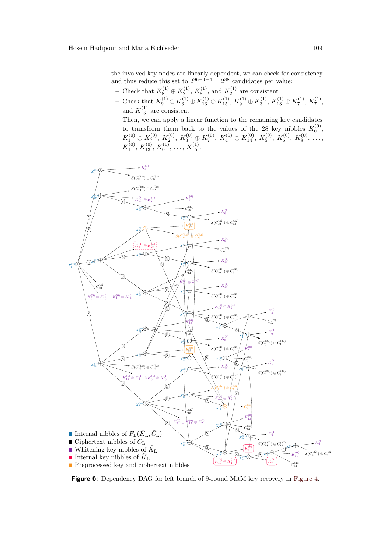the involved key nodes are linearly dependent, we can check for consistency and thus reduce this set to  $2^{96-4-4} = 2^{88}$  candidates per value:

- − Check that  $K_8^{(1)}$  ⊕  $K_2^{(1)}$ ,  $K_8^{(1)}$ , and  $K_2^{(1)}$  are consistent
- $-$  Check that  $K_9^{(1)}$  ⊕  $K_3^{(1)}$  ⊕  $K_{13}^{(1)}$  ⊕  $K_{15}^{(1)}$ ,  $K_9^{(1)}$  ⊕  $K_3^{(1)}$ ,  $K_{13}^{(1)}$  ⊕  $K_7^{(1)}$ ,  $K_7^{(1)}$ , and  $K_{15}^{(1)}$  are consistent
- **–** Then, we can apply a linear function to the remaining key candidates to transform them back to the values of the 28 key nibbles  $K_0^{(0)}$ ,  $K_1^{(0)} \oplus K_7^{(0)},\ K_2^{(0)},\ K_3^{(0)} \oplus K_7^{(0)},\ K_4^{(0)} \oplus K_{14}^{(0)},\ K_5^{(0)},\ K_6^{(0)},\ K_8^{(0)},\ \ldots,$  $K_{11}^{(0)}, K_{13}^{(0)}, K_0^{(1)}, \ldots, K_{15}^{(1)}.$

<span id="page-17-0"></span>![](_page_17_Figure_5.jpeg)

**Figure 6:** Dependency DAG for left branch of 9-round MitM key recovery in [Figure 4.](#page-14-0)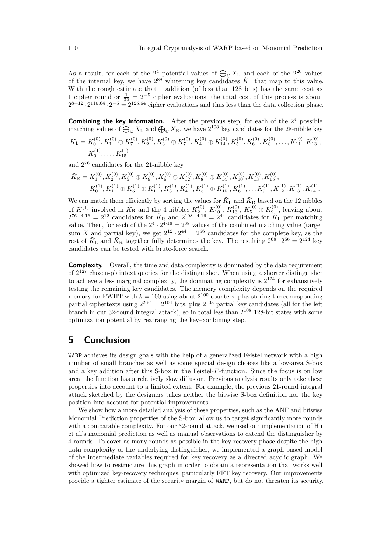As a result, for each of the  $2^4$  potential values of  $\bigoplus_{\mathbb{C}} X_{\mathbb{L}}$  and each of the  $2^{20}$  values of the internal key, we have  $2^{88}$  whitening key candidates  $\tilde{K}_{\text{L}}$  that map to this value. With the rough estimate that 1 addition (of less than 128 bits) has the same cost as 1 cipher round or  $\frac{1}{32} = 2^{-5}$  cipher evaluations, the total cost of this process is about  $2^{8+12} \cdot 2^{110.64} \cdot 2^{-5} = 2^{125.64}$  cipher evaluations and thus less than the data collection phase.

**Combining the key information.** After the previous step, for each of the  $2<sup>4</sup>$  possible matching values of  $\bigoplus_{\mathbb{C}} X_{\mathbb{L}}$  and  $\bigoplus_{\mathbb{C}} X_{\mathbb{R}}$ , we have  $2^{108}$  key candidates for the 28-nibble key

$$
\tilde{K}_{\mathcal{L}} = K_0^{(0)}, K_1^{(0)} \oplus K_7^{(0)}, K_2^{(0)}, K_3^{(0)} \oplus K_7^{(0)}, K_4^{(0)} \oplus K_{14}^{(0)}, K_5^{(0)}, K_6^{(0)}, K_8^{(0)}, \ldots, K_{11}^{(0)}, K_{13}^{(0)},
$$
  

$$
K_0^{(1)}, \ldots, K_{15}^{(1)}
$$

and 2 <sup>76</sup> candidates for the 21-nibble key

$$
\begin{aligned} \tilde{K}_{\mathrm{R}} &= K_{1}^{(0)}, K_{2}^{(0)}, K_{5}^{(0)} \oplus K_{9}^{(0)}, K_{6}^{(0)} \oplus K_{12}^{(0)}, K_{8}^{(0)} \oplus K_{14}^{(0)}, K_{10}^{(0)}, K_{13}^{(0)}, K_{15}^{(0)}, \\ & K_{0}^{(1)}, K_{1}^{(1)} \oplus K_{5}^{(1)} \oplus K_{11}^{(1)}, K_{3}^{(1)}, K_{4}^{(1)}, K_{5}^{(1)} \oplus K_{15}^{(1)}, K_{6}^{(1)}, \ldots K_{9}^{(1)}, K_{12}^{(1)}, K_{13}^{(1)}, K_{14}^{(1)}. \end{aligned}
$$

We can match them efficiently by sorting the values for  $\tilde{K}_{\text{L}}$  and  $\tilde{K}_{\text{R}}$  based on the 12 nibbles of  $K^{(1)}$  involved in  $\tilde{K}_{\rm R}$  and the 4 nibbles  $K_2^{(0)}$ ,  $K_{10}^{(0)}$ ,  $K_{13}^{(0)}$ ,  $K_5^{(0)} \oplus K_{9}^{(0)}$ , leaving about  $2^{76-4.16} = 2^{12}$  candidates for  $\tilde{K}_R$  and  $2^{108-\tilde{4}\cdot 16} = 2^{44}$  candidates for  $\tilde{K}_L$  per matching value. Then, for each of the  $2^4 \cdot 2^{4 \cdot 16} = 2^{68}$  values of the combined matching value (target sum X and partial key), we get  $2^{12} \cdot 2^{44} = 2^{56}$  candidates for the complete key, as the rest of  $\tilde{K}_{\rm L}$  and  $\tilde{K}_{\rm R}$  together fully determines the key. The resulting  $2^{68} \cdot 2^{56} = 2^{124}$  key candidates can be tested with brute-force search.

**Complexity.** Overall, the time and data complexity is dominated by the data requirement of  $2^{127}$  chosen-plaintext queries for the distinguisher. When using a shorter distinguisher to achieve a less marginal complexity, the dominating complexity is  $2^{124}$  for exhaustively testing the remaining key candidates. The memory complexity depends on the required memory for FWHT with  $k = 100$  using about  $2^{100}$  counters, plus storing the corresponding partial ciphertexts using  $2^{26\cdot4} = 2^{104}$  bits, plus  $2^{108}$  partial key candidates (all for the left branch in our 32-round integral attack), so in total less than 2 <sup>108</sup> 128-bit states with some optimization potential by rearranging the key-combining step.

## **5 Conclusion**

WARP achieves its design goals with the help of a generalized Feistel network with a high number of small branches as well as some special design choices like a low-area S-box and a key addition after this S-box in the Feistel-*F*-function. Since the focus is on low area, the function has a relatively slow diffusion. Previous analysis results only take these properties into account to a limited extent. For example, the previous 21-round integral attack sketched by the designers takes neither the bitwise S-box definition nor the key position into account for potential improvements.

We show how a more detailed analysis of these properties, such as the ANF and bitwise Monomial Prediction properties of the S-box, allow us to target significantly more rounds with a comparable complexity. For our 32-round attack, we used our implementation of Hu et al.'s monomial prediction as well as manual observations to extend the distinguisher by 4 rounds. To cover as many rounds as possible in the key-recovery phase despite the high data complexity of the underlying distinguisher, we implemented a graph-based model of the intermediate variables required for key recovery as a directed acyclic graph. We showed how to restructure this graph in order to obtain a representation that works well with optimized key-recovery techniques, particularly FFT key recovery. Our improvements provide a tighter estimate of the security margin of WARP, but do not threaten its security.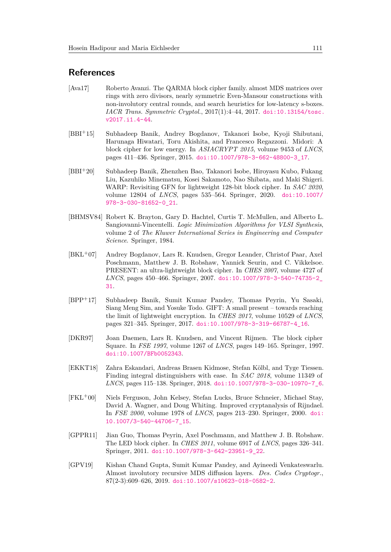### **References**

- <span id="page-19-2"></span>[Ava17] Roberto Avanzi. The QARMA block cipher family. almost MDS matrices over rings with zero divisors, nearly symmetric Even-Mansour constructions with non-involutory central rounds, and search heuristics for low-latency s-boxes. *IACR Trans. Symmetric Cryptol.*, 2017(1):4–44, 2017. [doi:10.13154/tosc.](http://dx.doi.org/10.13154/tosc.v2017.i1.4-44) [v2017.i1.4-44](http://dx.doi.org/10.13154/tosc.v2017.i1.4-44).
- <span id="page-19-3"></span>[BBI<sup>+</sup>15] Subhadeep Banik, Andrey Bogdanov, Takanori Isobe, Kyoji Shibutani, Harunaga Hiwatari, Toru Akishita, and Francesco Regazzoni. Midori: A block cipher for low energy. In *ASIACRYPT 2015*, volume 9453 of *LNCS*, pages 411–436. Springer, 2015. [doi:10.1007/978-3-662-48800-3\\_17](http://dx.doi.org/10.1007/978-3-662-48800-3_17).
- <span id="page-19-4"></span>[BBI<sup>+</sup>20] Subhadeep Banik, Zhenzhen Bao, Takanori Isobe, Hiroyasu Kubo, Fukang Liu, Kazuhiko Minematsu, Kosei Sakamoto, Nao Shibata, and Maki Shigeri. WARP: Revisiting GFN for lightweight 128-bit block cipher. In *SAC 2020*, volume 12804 of *LNCS*, pages 535–564. Springer, 2020. [doi:10.1007/](http://dx.doi.org/10.1007/978-3-030-81652-0_21) [978-3-030-81652-0\\_21](http://dx.doi.org/10.1007/978-3-030-81652-0_21).
- <span id="page-19-9"></span>[BHMSV84] Robert K. Brayton, Gary D. Hachtel, Curtis T. McMullen, and Alberto L. Sangiovanni-Vincentelli. *Logic Minimization Algorithms for VLSI Synthesis*, volume 2 of *The Kluwer International Series in Engineering and Computer Science*. Springer, 1984.
- <span id="page-19-0"></span>[BKL<sup>+</sup>07] Andrey Bogdanov, Lars R. Knudsen, Gregor Leander, Christof Paar, Axel Poschmann, Matthew J. B. Robshaw, Yannick Seurin, and C. Vikkelsoe. PRESENT: an ultra-lightweight block cipher. In *CHES 2007*, volume 4727 of *LNCS*, pages 450–466. Springer, 2007. [doi:10.1007/978-3-540-74735-2\\_](http://dx.doi.org/10.1007/978-3-540-74735-2_31) [31](http://dx.doi.org/10.1007/978-3-540-74735-2_31).
- <span id="page-19-5"></span>[BPP<sup>+</sup>17] Subhadeep Banik, Sumit Kumar Pandey, Thomas Peyrin, Yu Sasaki, Siang Meng Sim, and Yosuke Todo. GIFT: A small present – towards reaching the limit of lightweight encryption. In *CHES 2017*, volume 10529 of *LNCS*, pages 321–345. Springer, 2017. [doi:10.1007/978-3-319-66787-4\\_16](http://dx.doi.org/10.1007/978-3-319-66787-4_16).
- <span id="page-19-7"></span>[DKR97] Joan Daemen, Lars R. Knudsen, and Vincent Rijmen. The block cipher Square. In *FSE 1997*, volume 1267 of *LNCS*, pages 149–165. Springer, 1997. [doi:10.1007/BFb0052343](http://dx.doi.org/10.1007/BFb0052343).
- <span id="page-19-10"></span>[EKKT18] Zahra Eskandari, Andreas Brasen Kidmose, Stefan Kölbl, and Tyge Tiessen. Finding integral distinguishers with ease. In *SAC 2018*, volume 11349 of *LNCS*, pages 115–138. Springer, 2018. [doi:10.1007/978-3-030-10970-7\\_6](http://dx.doi.org/10.1007/978-3-030-10970-7_6).
- <span id="page-19-8"></span>[FKL<sup>+</sup>00] Niels Ferguson, John Kelsey, Stefan Lucks, Bruce Schneier, Michael Stay, David A. Wagner, and Doug Whiting. Improved cryptanalysis of Rijndael. In *FSE 2000*, volume 1978 of *LNCS*, pages 213–230. Springer, 2000. [doi:](http://dx.doi.org/10.1007/3-540-44706-7_15) [10.1007/3-540-44706-7\\_15](http://dx.doi.org/10.1007/3-540-44706-7_15).
- <span id="page-19-1"></span>[GPPR11] Jian Guo, Thomas Peyrin, Axel Poschmann, and Matthew J. B. Robshaw. The LED block cipher. In *CHES 2011*, volume 6917 of *LNCS*, pages 326–341. Springer, 2011. [doi:10.1007/978-3-642-23951-9\\_22](http://dx.doi.org/10.1007/978-3-642-23951-9_22).
- <span id="page-19-6"></span>[GPV19] Kishan Chand Gupta, Sumit Kumar Pandey, and Ayineedi Venkateswarlu. Almost involutory recursive MDS diffusion layers. *Des. Codes Cryptogr.*, 87(2-3):609–626, 2019. [doi:10.1007/s10623-018-0582-2](http://dx.doi.org/10.1007/s10623-018-0582-2).